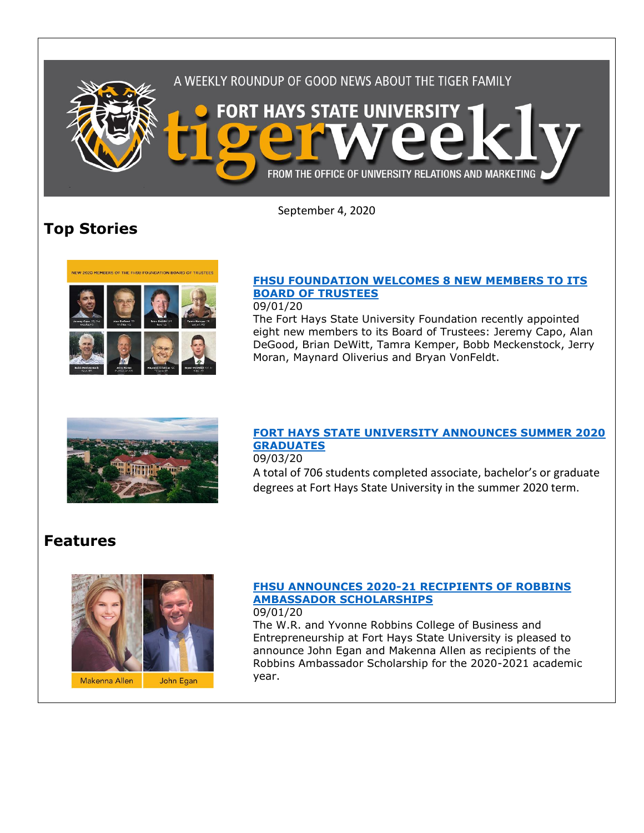

September 4, 2020

# **Top Stories**



### **[FHSU FOUNDATION WELCOMES 8 NEW MEMBERS TO ITS](https://www.fhsu.edu/news/2020/09/fhsu-foundation-welcomes-8-new-members-to-its-board-of-trustees)  [BOARD OF TRUSTEES](https://www.fhsu.edu/news/2020/09/fhsu-foundation-welcomes-8-new-members-to-its-board-of-trustees)**

09/01/20

The Fort Hays State University Foundation recently appointed eight new members to its Board of Trustees: Jeremy Capo, Alan DeGood, Brian DeWitt, Tamra Kemper, Bobb Meckenstock, Jerry Moran, Maynard Oliverius and Bryan VonFeldt.



#### **[FORT HAYS STATE UNIVERSITY ANNOUNCES SUMMER 2020](https://www.fhsu.edu/news/2020/09/fort-hays-state-university-announces-summer-2020-graduates)  [GRADUATES](https://www.fhsu.edu/news/2020/09/fort-hays-state-university-announces-summer-2020-graduates)** 09/03/20

A total of 706 students completed associate, bachelor's or graduate degrees at Fort Hays State University in the summer 2020 term.

## **Features**



#### **[FHSU ANNOUNCES 2020-21 RECIPIENTS OF ROBBINS](https://www.fhsu.edu/news/2020/09/fhsu-announces-2020-21-recipients-of-robbins-ambassador-scholarships)  [AMBASSADOR SCHOLARSHIPS](https://www.fhsu.edu/news/2020/09/fhsu-announces-2020-21-recipients-of-robbins-ambassador-scholarships)** 09/01/20

The W.R. and Yvonne Robbins College of Business and Entrepreneurship at Fort Hays State University is pleased to announce John Egan and Makenna Allen as recipients of the Robbins Ambassador Scholarship for the 2020-2021 academic year.